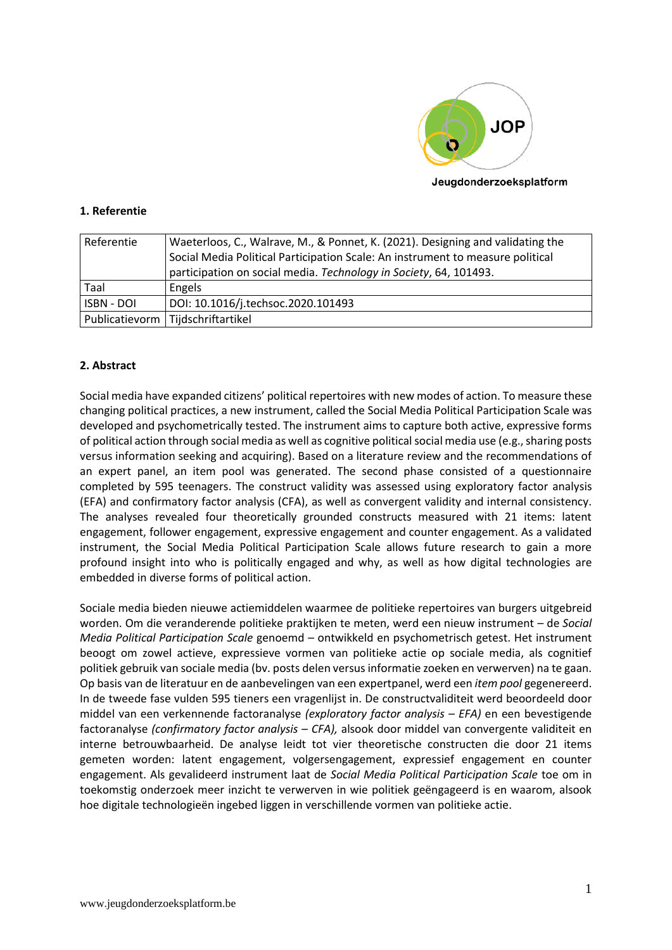

## Jeugdonderzoeksplatform

## **1. Referentie**

| Referentie | Waeterloos, C., Walrave, M., & Ponnet, K. (2021). Designing and validating the |
|------------|--------------------------------------------------------------------------------|
|            | Social Media Political Participation Scale: An instrument to measure political |
|            | participation on social media. Technology in Society, 64, 101493.              |
| Taal       | Engels                                                                         |
| ISBN - DOI | DOI: 10.1016/j.techsoc.2020.101493                                             |
|            | Publicatievorm   Tijdschriftartikel                                            |

## **2. Abstract**

Social media have expanded citizens' political repertoires with new modes of action. To measure these changing political practices, a new instrument, called the Social Media Political Participation Scale was developed and psychometrically tested. The instrument aims to capture both active, expressive forms of political action through social media as well as cognitive political social media use (e.g., sharing posts versus information seeking and acquiring). Based on a literature review and the recommendations of an expert panel, an item pool was generated. The second phase consisted of a questionnaire completed by 595 teenagers. The construct validity was assessed using exploratory factor analysis (EFA) and confirmatory factor analysis (CFA), as well as convergent validity and internal consistency. The analyses revealed four theoretically grounded constructs measured with 21 items: latent engagement, follower engagement, expressive engagement and counter engagement. As a validated instrument, the Social Media Political Participation Scale allows future research to gain a more profound insight into who is politically engaged and why, as well as how digital technologies are embedded in diverse forms of political action.

Sociale media bieden nieuwe actiemiddelen waarmee de politieke repertoires van burgers uitgebreid worden. Om die veranderende politieke praktijken te meten, werd een nieuw instrument – de *Social Media Political Participation Scale* genoemd – ontwikkeld en psychometrisch getest. Het instrument beoogt om zowel actieve, expressieve vormen van politieke actie op sociale media, als cognitief politiek gebruik van sociale media (bv. posts delen versus informatie zoeken en verwerven) na te gaan. Op basis van de literatuur en de aanbevelingen van een expertpanel, werd een *item pool* gegenereerd. In de tweede fase vulden 595 tieners een vragenlijst in. De constructvaliditeit werd beoordeeld door middel van een verkennende factoranalyse *(exploratory factor analysis – EFA)* en een bevestigende factoranalyse *(confirmatory factor analysis – CFA),* alsook door middel van convergente validiteit en interne betrouwbaarheid. De analyse leidt tot vier theoretische constructen die door 21 items gemeten worden: latent engagement, volgersengagement, expressief engagement en counter engagement. Als gevalideerd instrument laat de *Social Media Political Participation Scale* toe om in toekomstig onderzoek meer inzicht te verwerven in wie politiek geëngageerd is en waarom, alsook hoe digitale technologieën ingebed liggen in verschillende vormen van politieke actie.